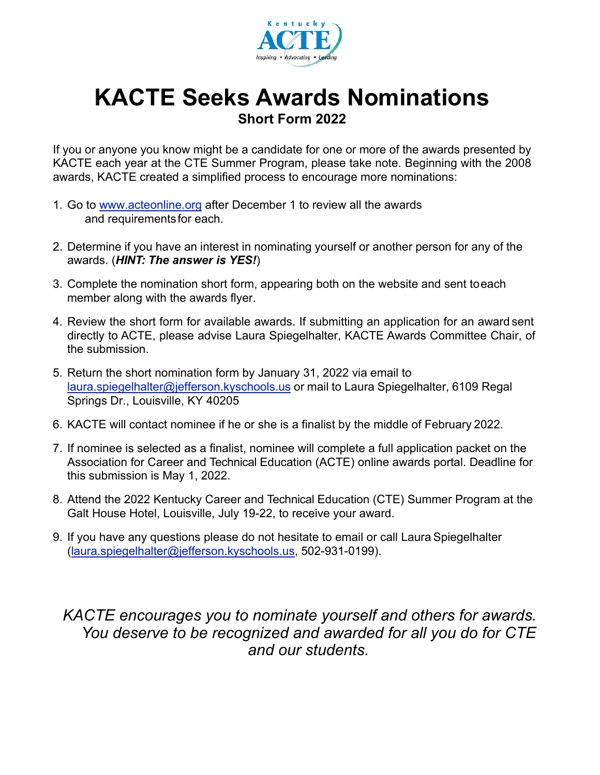

## **KACTE Seeks Awards Nominations Short Form 2022**

If you or anyone you know might be a candidate for one or more of the awards presented by KACTE each year at the CTE Summer Program, please take note. Beginning with the 2008 awards, KACTE created a simplified process to encourage more nominations:

- 1. Go to [www.acteonline.org](http://www.acteonline.org) after December 1 to review all the awards and requirementsfor each.
- 2. Determine if you have an interest in nominating yourself or another person for any of the awards. (*HINT: The answer is YES!*)
- 3. Complete the nomination short form, appearing both on the website and sent to each member along with the awards flyer.
- 4. Review the short form for available awards. If submitting an application for an award sent directly to ACTE, please advise Laura Spiegelhalter, KACTE Awards Committee Chair, of the submission.
- 5. Return the short nomination form by January 31, 2022 via email to [laura.spiegelhalter@jefferson.kyschools.us](mailto:laura.spiegelhalter@jefferson.kyschools.us) or mail to Laura Spiegelhalter, 6109 Regal Springs Dr., Louisville, KY 40205
- 6. KACTE will contact nominee if he or she is a finalist by the middle of February 2022.
- 7. If nominee is selected as a finalist, nominee will complete a full application packet on the Association for Career and Technical Education (ACTE) online awards portal. Deadline for this submission is May 1, 2022.
- 8. Attend the 2022 Kentucky Career and Technical Education (CTE) Summer Program at the Galt House Hotel, Louisville, July 19-22, to receive your award.
- 9. If you have any questions please do not hesitate to email or call Laura Spiegelhalte[r](mailto:(laura.spiegelhalter@jefferson.kyschools.us) [\(laura.spiegelhalter@jefferson.kyschools.us,](mailto:(laura.spiegelhalter@jefferson.kyschools.us) 502-931-0199).

*KACTE encourages you to nominate yourself and others for awards. You deserve to be recognized and awarded for all you do for CTE and our students.*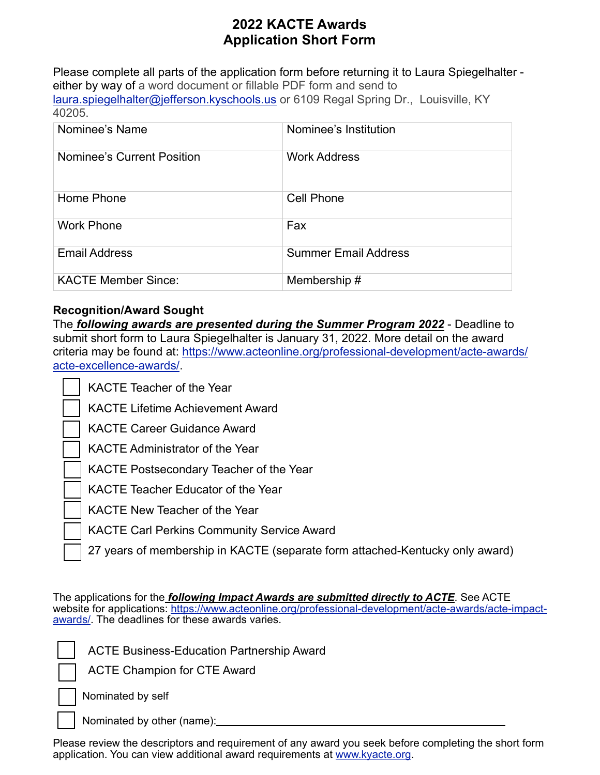## **2022 KACTE Awards Application Short Form**

Please complete all parts of the application form before returning it to Laura Spiegelhalter either by way of a word document or fillable PDF form and send to [laura.spiegelhalter@jefferson.kyschools.us](mailto:laura.spiegelhalter@jefferson.kyschools.us) or 6109 Regal Spring Dr., Louisville, KY 40205.

| Nominee's Name             | Nominee's Institution       |
|----------------------------|-----------------------------|
| Nominee's Current Position | <b>Work Address</b>         |
| Home Phone                 | <b>Cell Phone</b>           |
| <b>Work Phone</b>          | Fax                         |
| <b>Email Address</b>       | <b>Summer Email Address</b> |
| <b>KACTE Member Since:</b> | Membership#                 |

## **Recognition/Award Sought**

The *following awards are presented during the Summer Program 2022* - Deadline to submit short form to Laura Spiegelhalter is January 31, 2022. More detail on the award criteria may be found at: [https://www.acteonline.org/professional-development/acte-awards/](https://www.acteonline.org/professional-development/acte-awards/acte-excellence-awards/) [acte-excellence-awards/](https://www.acteonline.org/professional-development/acte-awards/acte-excellence-awards/).

KACTE Lifetime Achievement Award

KACTE Career Guidance Award

KACTE Administrator of the Year

KACTE Postsecondary Teacher of the Year

KACTE Teacher Educator of the Year

KACTE New Teacher of the Year

KACTE Carl Perkins Community Service Award

27 years of membership in KACTE (separate form attached-Kentucky only award)

The applications for the *following Impact Awards are submitted directly to ACTE*. See ACTE website for applications: [https://www.acteonline.org/professional-development/acte-awards/acte-impact](https://www.acteonline.org/professional-development/acte-awards/acte-impact-awards/)[awards/.](https://www.acteonline.org/professional-development/acte-awards/acte-impact-awards/) The deadlines for these awards varies.

ACTE Business-Education Partnership Award

ACTE Champion for CTE Award

Nominated by self

Nominated by other (name):

Please review the descriptors and requirement of any award you seek before completing the short form application. You can view additional award requirements at [www.kyacte.org.](http://www.kyacte.org)